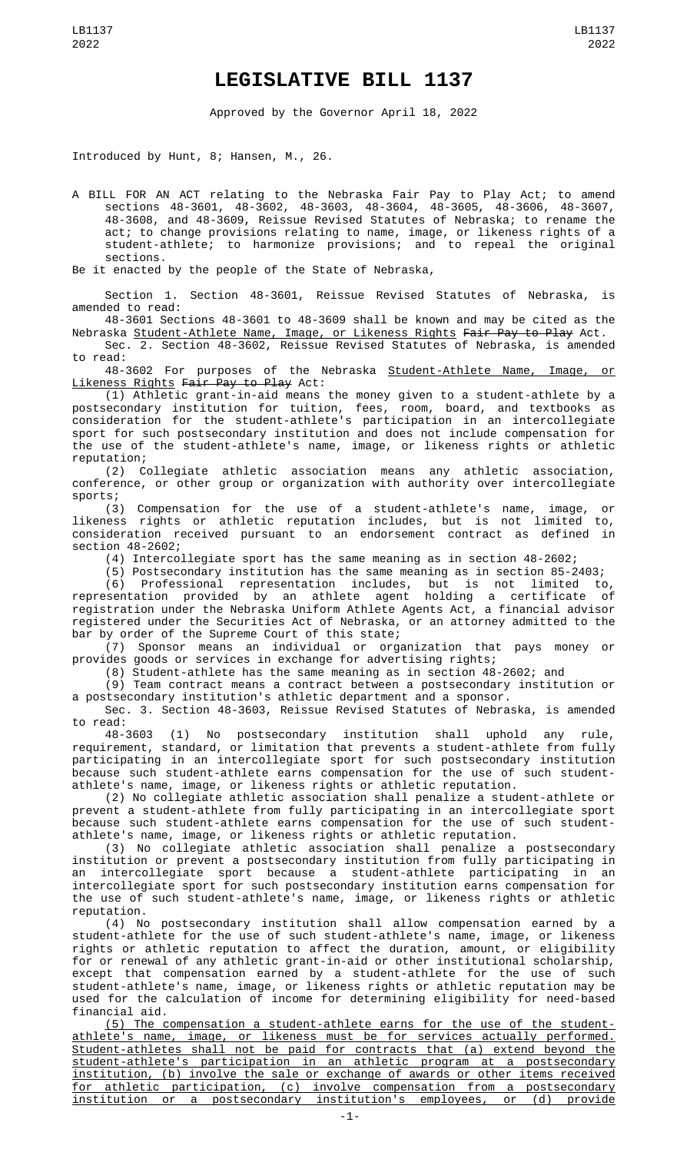## **LEGISLATIVE BILL 1137**

Approved by the Governor April 18, 2022

Introduced by Hunt, 8; Hansen, M., 26.

A BILL FOR AN ACT relating to the Nebraska Fair Pay to Play Act; to amend sections 48-3601, 48-3602, 48-3603, 48-3604, 48-3605, 48-3606, 48-3607, 48-3608, and 48-3609, Reissue Revised Statutes of Nebraska; to rename the act; to change provisions relating to name, image, or likeness rights of a student-athlete; to harmonize provisions; and to repeal the original sections.

Be it enacted by the people of the State of Nebraska,

Section 1. Section 48-3601, Reissue Revised Statutes of Nebraska, is amended to read:

48-3601 Sections 48-3601 to 48-3609 shall be known and may be cited as the Nebraska <u>Student-Athlete Name, Image, or Likeness Rights</u> <del>Fair Pay to Play</del> Act.

Sec. 2. Section 48-3602, Reissue Revised Statutes of Nebraska, is amended to read:

48-3602 For purposes of the Nebraska Student-Athlete Name, Image, or Likeness Rights Fair Pay to Play Act:

(1) Athletic grant-in-aid means the money given to a student-athlete by a postsecondary institution for tuition, fees, room, board, and textbooks as consideration for the student-athlete's participation in an intercollegiate sport for such postsecondary institution and does not include compensation for the use of the student-athlete's name, image, or likeness rights or athletic reputation;

(2) Collegiate athletic association means any athletic association, conference, or other group or organization with authority over intercollegiate sports;

(3) Compensation for the use of a student-athlete's name, image, or likeness rights or athletic reputation includes, but is not limited to, consideration received pursuant to an endorsement contract as defined in section 48-2602;

(4) Intercollegiate sport has the same meaning as in section 48-2602;

(5) Postsecondary institution has the same meaning as in section 85-2403;

(6) Professional representation includes, but is not limited to, representation provided by an athlete agent holding a certificate of registration under the Nebraska Uniform Athlete Agents Act, a financial advisor registered under the Securities Act of Nebraska, or an attorney admitted to the bar by order of the Supreme Court of this state;

(7) Sponsor means an individual or organization that pays money or provides goods or services in exchange for advertising rights;

(8) Student-athlete has the same meaning as in section 48-2602; and

(9) Team contract means a contract between a postsecondary institution or a postsecondary institution's athletic department and a sponsor.

Sec. 3. Section 48-3603, Reissue Revised Statutes of Nebraska, is amended

to read:<br>48-3603 (1) No postsecondary institution shall uphold any rule, requirement, standard, or limitation that prevents a student-athlete from fully participating in an intercollegiate sport for such postsecondary institution because such student-athlete earns compensation for the use of such studentathlete's name, image, or likeness rights or athletic reputation.

(2) No collegiate athletic association shall penalize a student-athlete or prevent a student-athlete from fully participating in an intercollegiate sport because such student-athlete earns compensation for the use of such studentathlete's name, image, or likeness rights or athletic reputation.

(3) No collegiate athletic association shall penalize a postsecondary institution or prevent a postsecondary institution from fully participating in an intercollegiate sport because a student-athlete participating in an intercollegiate sport for such postsecondary institution earns compensation for the use of such student-athlete's name, image, or likeness rights or athletic reputation.

(4) No postsecondary institution shall allow compensation earned by a student-athlete for the use of such student-athlete's name, image, or likeness rights or athletic reputation to affect the duration, amount, or eligibility for or renewal of any athletic grant-in-aid or other institutional scholarship, except that compensation earned by a student-athlete for the use of such student-athlete's name, image, or likeness rights or athletic reputation may be used for the calculation of income for determining eligibility for need-based financial aid.

(5) The compensation a student-athlete earns for the use of the studentathlete's name, image, or likeness must be for services actually performed. Student-athletes shall not be paid for contracts that (a) extend beyond the student-athlete's participation in an athletic program at a postsecondary institution, (b) involve the sale or exchange of awards or other items received for athletic participation, (c) involve compensation from a postsecondary institution or a postsecondary institution's employees, or (d) provide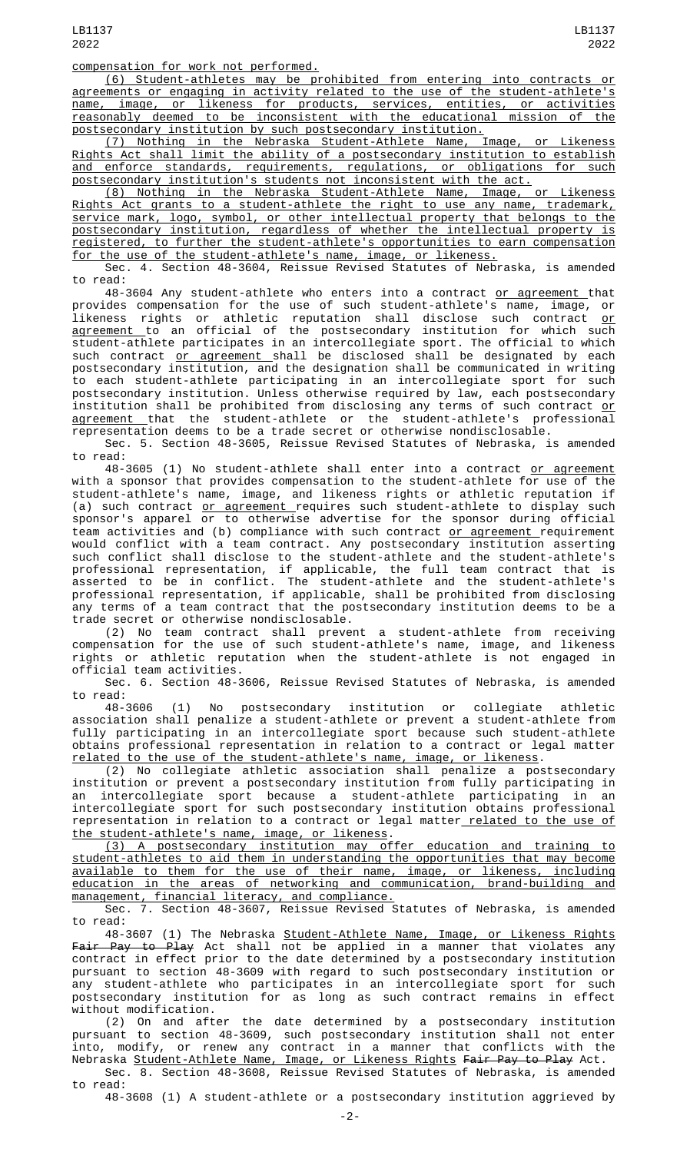compensation for work not performed.

(6) Student-athletes may be prohibited from entering into contracts or agreements or engaging in activity related to the use of the student-athlete's name, image, or likeness for products, services, entities, or activities reasonably deemed to be inconsistent with the educational mission of the postsecondary institution by such postsecondary institution.

(7) Nothing in the Nebraska Student-Athlete Name, Image, or Likeness Rights Act shall limit the ability of a postsecondary institution to establish and enforce standards, requirements, regulations, or obligations for such postsecondary institution's students not inconsistent with the act.

(8) Nothing in the Nebraska Student-Athlete Name, Image, or Likeness Rights Act grants to a student-athlete the right to use any name, trademark, service mark, logo, symbol, or other intellectual property that belongs to the postsecondary institution, regardless of whether the intellectual property is registered, to further the student-athlete's opportunities to earn compensation for the use of the student-athlete's name, image, or likeness.

Sec. 4. Section 48-3604, Reissue Revised Statutes of Nebraska, is amended to read:

48-3604 Any student-athlete who enters into a contract <u>or agreement </u>that provides compensation for the use of such student-athlete's name, image, or likeness rights or athletic reputation shall disclose such contract <u>or</u> <u>agreement t</u>o an official of the postsecondary institution for which such student-athlete participates in an intercollegiate sport. The official to which such contract <u>or agreement s</u>hall be disclosed shall be designated by each postsecondary institution, and the designation shall be communicated in writing to each student-athlete participating in an intercollegiate sport for such postsecondary institution. Unless otherwise required by law, each postsecondary institution shall be prohibited from disclosing any terms of such contract <u>or</u> <u>agreement that the student-athlete or the student-athlete's professional</u> representation deems to be a trade secret or otherwise nondisclosable.

Sec. 5. Section 48-3605, Reissue Revised Statutes of Nebraska, is amended to read:

48-3605 (1) No student-athlete shall enter into a contract <u>or agreement</u> with a sponsor that provides compensation to the student-athlete for use of the student-athlete's name, image, and likeness rights or athletic reputation if (a) such contract <u>or agreement r</u>equires such student-athlete to display such sponsor's apparel or to otherwise advertise for the sponsor during official team activities and (b) compliance with such contract <u>or agreement r</u>equirement would conflict with a team contract. Any postsecondary institution asserting such conflict shall disclose to the student-athlete and the student-athlete's professional representation, if applicable, the full team contract that is asserted to be in conflict. The student-athlete and the student-athlete's professional representation, if applicable, shall be prohibited from disclosing any terms of a team contract that the postsecondary institution deems to be a trade secret or otherwise nondisclosable.

(2) No team contract shall prevent a student-athlete from receiving compensation for the use of such student-athlete's name, image, and likeness rights or athletic reputation when the student-athlete is not engaged in official team activities.

Sec. 6. Section 48-3606, Reissue Revised Statutes of Nebraska, is amended to read:

48-3606 (1) No postsecondary institution or collegiate athletic association shall penalize a student-athlete or prevent a student-athlete from fully participating in an intercollegiate sport because such student-athlete obtains professional representation in relation to a contract or legal matter related to the use of the student-athlete's name, image, or likeness.

(2) No collegiate athletic association shall penalize a postsecondary institution or prevent a postsecondary institution from fully participating in an intercollegiate sport because a student-athlete participating in an intercollegiate sport for such postsecondary institution obtains professional representation in relation to a contract or legal matter<u>-related to the use of</u> the student-athlete's name, image, or likeness.

(3) A postsecondary institution may offer education and training to student-athletes to aid them in understanding the opportunities that may become available to them for the use of their name, image, or likeness, including education in the areas of networking and communication, brand-building and management, financial literacy, and compliance.

Sec. 7. Section 48-3607, Reissue Revised Statutes of Nebraska, is amended to read:

48-3607 (1) The Nebraska <u>Student-Athlete Name, Image, or Likeness Rights</u> <del>Fair Pay to Play</del> Act shall not be applied in a manner that violates any contract in effect prior to the date determined by a postsecondary institution pursuant to section 48-3609 with regard to such postsecondary institution or any student-athlete who participates in an intercollegiate sport for such postsecondary institution for as long as such contract remains in effect without modification.

(2) On and after the date determined by a postsecondary institution pursuant to section 48-3609, such postsecondary institution shall not enter into, modify, or renew any contract in a manner that conflicts with the Nebraska <u>Student-Athlete Name, Image, or Likeness Rights</u> <del>Fair Pay to Play</del> Act. Sec. 8. Section 48-3608, Reissue Revised Statutes of Nebraska, is amended

to read: 48-3608 (1) A student-athlete or a postsecondary institution aggrieved by